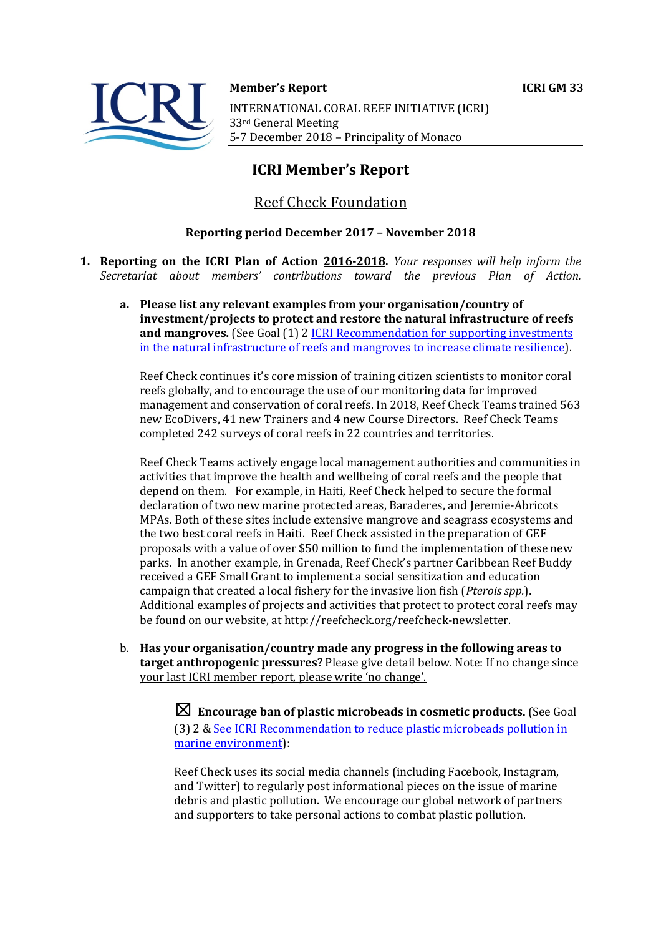



**Member's Report ICRI GM 33** INTERNATIONAL CORAL REEF INITIATIVE (ICRI) 33rd General Meeting 5-7 December 2018 - Principality of Monaco

# **ICRI Member's Report**

## Reef Check Foundation

## **Reporting period December 2017 – November 2018**

- **1. Reporting on the ICRI Plan of Action 2016-2018.** *Your responses will help inform the Secretariat about members' contributions toward the previous Plan of Action.*
	- a. Please list any relevant examples from your organisation/country of **investment/projects to protect and restore the natural infrastructure of reefs** and mangroves. (See Goal (1) 2 **ICRI Recommendation for supporting investments** in the natural infrastructure of reefs and mangroves to increase climate resilience).

Reef Check continues it's core mission of training citizen scientists to monitor coral reefs globally, and to encourage the use of our monitoring data for improved management and conservation of coral reefs. In 2018, Reef Check Teams trained 563 new EcoDivers, 41 new Trainers and 4 new Course Directors. Reef Check Teams completed 242 surveys of coral reefs in 22 countries and territories.

Reef Check Teams actively engage local management authorities and communities in activities that improve the health and wellbeing of coral reefs and the people that depend on them. For example, in Haiti, Reef Check helped to secure the formal declaration of two new marine protected areas, Baraderes, and Jeremie-Abricots MPAs. Both of these sites include extensive mangrove and seagrass ecosystems and the two best coral reefs in Haiti. Reef Check assisted in the preparation of GEF proposals with a value of over \$50 million to fund the implementation of these new parks. In another example, in Grenada, Reef Check's partner Caribbean Reef Buddy received a GEF Small Grant to implement a social sensitization and education campaign that created a local fishery for the invasive lion fish (*Pterois spp.*). Additional examples of projects and activities that protect to protect coral reefs may be found on our website, at http://reefcheck.org/reefcheck-newsletter.

b. Has your organisation/country made any progress in the following areas to **target anthropogenic pressures?** Please give detail below. Note: If no change since your last ICRI member report, please write 'no change'.

> $\boxtimes$  Encourage ban of plastic microbeads in cosmetic products. (See Goal (3) 2 & See ICRI Recommendation to reduce plastic microbeads pollution in marine environment):

Reef Check uses its social media channels (including Facebook, Instagram, and Twitter) to regularly post informational pieces on the issue of marine debris and plastic pollution. We encourage our global network of partners and supporters to take personal actions to combat plastic pollution.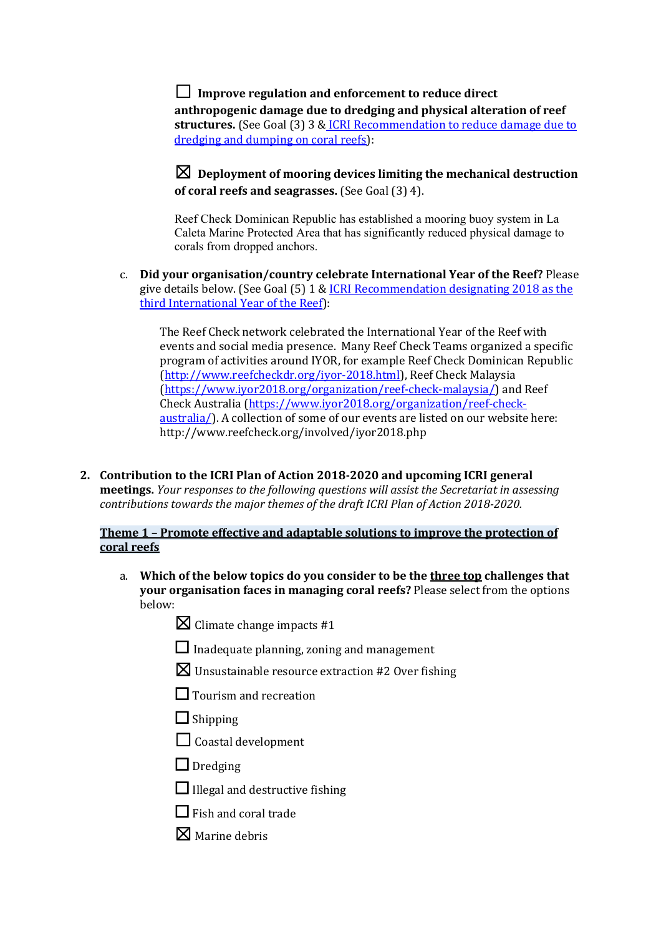### $\Box$  Improve regulation and enforcement to reduce direct

anthropogenic damage due to dredging and physical alteration of reef **structures.** (See Goal (3) 3 & ICRI Recommendation to reduce damage due to dredging and dumping on coral reefs):

## $\boxtimes$  Deplovment of mooring devices limiting the mechanical destruction **of coral reefs and seagrasses.** (See Goal (3) 4).

Reef Check Dominican Republic has established a mooring buoy system in La Caleta Marine Protected Area that has significantly reduced physical damage to corals from dropped anchors.

c. **Did your organisation/country celebrate International Year of the Reef?** Please give details below. (See Goal  $(5)$  1 & ICRI Recommendation designating 2018 as the third International Year of the Reef):

The Reef Check network celebrated the International Year of the Reef with events and social media presence. Many Reef Check Teams organized a specific program of activities around IYOR, for example Reef Check Dominican Republic (http://www.reefcheckdr.org/iyor-2018.html), Reef Check Malaysia (https://www.iyor2018.org/organization/reef-check-malaysia/) and Reef Check Australia (https://www.iyor2018.org/organization/reef-checkaustralia/). A collection of some of our events are listed on our website here: http://www.reefcheck.org/involved/iyor2018.php

2. Contribution to the ICRI Plan of Action 2018-2020 and upcoming ICRI general **meetings.** *Your responses to the following questions will assist the Secretariat in assessing contributions towards the major themes of the draft ICRI Plan of Action 2018-2020.* 

#### **Theme 1 - Promote effective and adaptable solutions to improve the protection of coral reefs**

- a. Which of the below topics do you consider to be the three top challenges that **your organisation faces in managing coral reefs?** Please select from the options below:
	- $\boxtimes$  Climate change impacts #1
	- $\Box$  Inadequate planning, zoning and management
	- $\boxtimes$  Unsustainable resource extraction #2 Over fishing
	- □ Tourism and recreation
	- $\Box$  Shipping
	- $\Box$  Coastal development
	- $\Box$  Dredging
	- $\Box$  Illegal and destructive fishing
	- $\Box$  Fish and coral trade
	- $\nabla$  Marine debris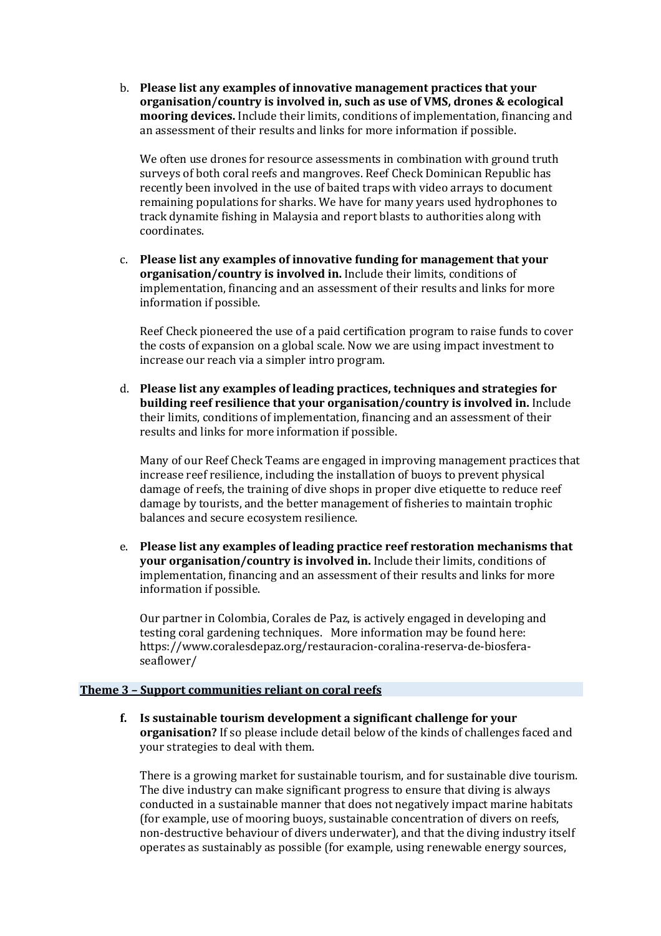b. **Please list any examples of innovative management practices that your organisation/country is involved in, such as use of VMS, drones & ecological mooring devices.** Include their limits, conditions of implementation, financing and an assessment of their results and links for more information if possible.

We often use drones for resource assessments in combination with ground truth surveys of both coral reefs and mangroves. Reef Check Dominican Republic has recently been involved in the use of baited traps with video arrays to document remaining populations for sharks. We have for many years used hydrophones to track dynamite fishing in Malaysia and report blasts to authorities along with coordinates.

c. Please list any examples of innovative funding for management that your **organisation/country is involved in.** Include their limits, conditions of implementation, financing and an assessment of their results and links for more information if possible.

Reef Check pioneered the use of a paid certification program to raise funds to cover the costs of expansion on a global scale. Now we are using impact investment to increase our reach via a simpler intro program.

d. Please list any examples of leading practices, techniques and strategies for **building reef resilience that your organisation/country is involved in.** Include their limits, conditions of implementation, financing and an assessment of their results and links for more information if possible.

Many of our Reef Check Teams are engaged in improving management practices that increase reef resilience, including the installation of buoys to prevent physical damage of reefs, the training of dive shops in proper dive etiquette to reduce reef damage by tourists, and the better management of fisheries to maintain trophic balances and secure ecosystem resilience.

e. Please list any examples of leading practice reef restoration mechanisms that **your organisation/country is involved in.** Include their limits, conditions of implementation, financing and an assessment of their results and links for more information if possible.

Our partner in Colombia, Corales de Paz, is actively engaged in developing and testing coral gardening techniques. More information may be found here: https://www.coralesdepaz.org/restauracion-coralina-reserva-de-biosferaseaflower/

#### **Theme 3 - Support communities reliant on coral reefs**

**f.** Is sustainable tourism development a significant challenge for your **organisation?** If so please include detail below of the kinds of challenges faced and your strategies to deal with them.

There is a growing market for sustainable tourism, and for sustainable dive tourism. The dive industry can make significant progress to ensure that diving is always conducted in a sustainable manner that does not negatively impact marine habitats (for example, use of mooring buoys, sustainable concentration of divers on reefs, non-destructive behaviour of divers underwater), and that the diving industry itself operates as sustainably as possible (for example, using renewable energy sources,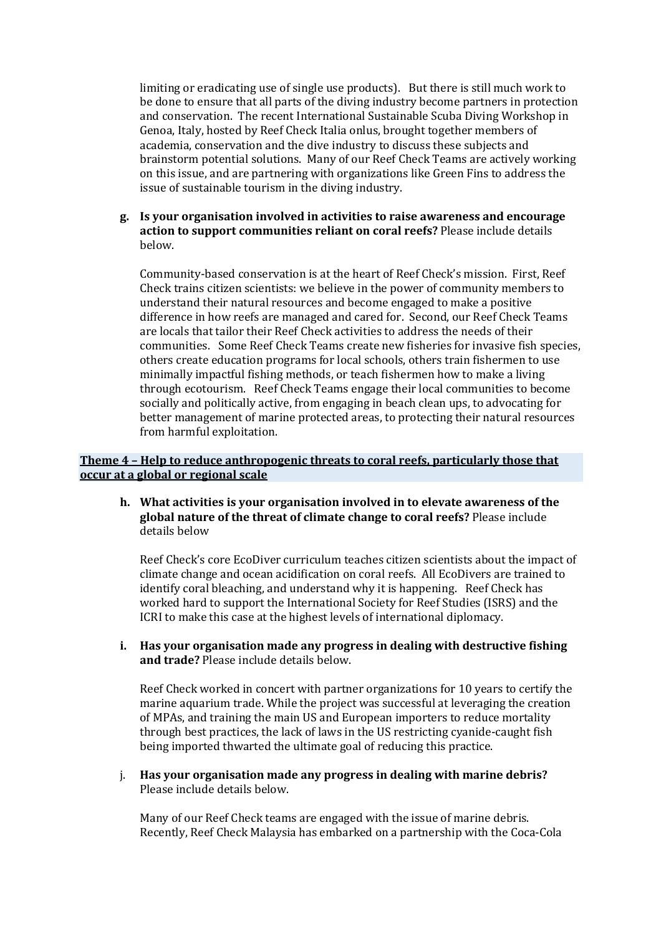limiting or eradicating use of single use products). But there is still much work to be done to ensure that all parts of the diving industry become partners in protection and conservation. The recent International Sustainable Scuba Diving Workshop in Genoa, Italy, hosted by Reef Check Italia onlus, brought together members of academia, conservation and the dive industry to discuss these subjects and brainstorm potential solutions. Many of our Reef Check Teams are actively working on this issue, and are partnering with organizations like Green Fins to address the issue of sustainable tourism in the diving industry.

g. Is your organisation involved in activities to raise awareness and encourage **action to support communities reliant on coral reefs?** Please include details below.

Community-based conservation is at the heart of Reef Check's mission. First, Reef Check trains citizen scientists: we believe in the power of community members to understand their natural resources and become engaged to make a positive difference in how reefs are managed and cared for. Second, our Reef Check Teams are locals that tailor their Reef Check activities to address the needs of their communities. Some Reef Check Teams create new fisheries for invasive fish species, others create education programs for local schools, others train fishermen to use minimally impactful fishing methods, or teach fishermen how to make a living through ecotourism. Reef Check Teams engage their local communities to become socially and politically active, from engaging in beach clean ups, to advocating for better management of marine protected areas, to protecting their natural resources from harmful exploitation.

#### **Theme 4 - Help to reduce anthropogenic threats to coral reefs, particularly those that occur at a global or regional scale**

**h.** What activities is your organisation involved in to elevate awareness of the global nature of the threat of climate change to coral reefs? Please include details below

Reef Check's core EcoDiver curriculum teaches citizen scientists about the impact of climate change and ocean acidification on coral reefs. All EcoDivers are trained to identify coral bleaching, and understand why it is happening. Reef Check has worked hard to support the International Society for Reef Studies (ISRS) and the ICRI to make this case at the highest levels of international diplomacy.

**i.** Has your organisation made any progress in dealing with destructive fishing and trade? Please include details below.

Reef Check worked in concert with partner organizations for 10 years to certify the marine aquarium trade. While the project was successful at leveraging the creation of MPAs, and training the main US and European importers to reduce mortality through best practices, the lack of laws in the US restricting cyanide-caught fish being imported thwarted the ultimate goal of reducing this practice.

j. Has your organisation made any progress in dealing with marine debris? Please include details below.

Many of our Reef Check teams are engaged with the issue of marine debris. Recently, Reef Check Malaysia has embarked on a partnership with the Coca-Cola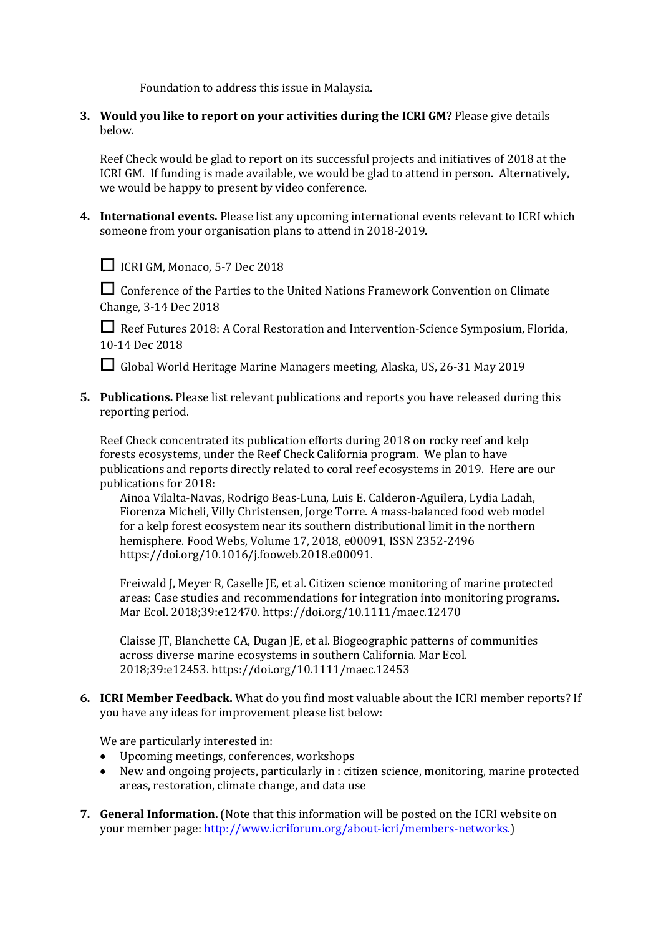Foundation to address this issue in Malaysia.

**3.** Would you like to report on your activities during the ICRI GM? Please give details below.

Reef Check would be glad to report on its successful projects and initiatives of 2018 at the ICRI GM. If funding is made available, we would be glad to attend in person. Alternatively, we would be happy to present by video conference.

4. International events. Please list any upcoming international events relevant to ICRI which someone from your organisation plans to attend in 2018-2019.



□ ICRI GM, Monaco, 5-7 Dec 2018

□ Conference of the Parties to the United Nations Framework Convention on Climate Change, 3-14 Dec 2018

**□** Reef Futures 2018: A Coral Restoration and Intervention-Science Symposium, Florida, 10-14 Dec 2018

□ Global World Heritage Marine Managers meeting, Alaska, US, 26-31 May 2019

**5.** Publications. Please list relevant publications and reports you have released during this reporting period.

Reef Check concentrated its publication efforts during 2018 on rocky reef and kelp forests ecosystems, under the Reef Check California program. We plan to have publications and reports directly related to coral reef ecosystems in 2019. Here are our publications for 2018:

Ainoa Vilalta-Navas, Rodrigo Beas-Luna, Luis E. Calderon-Aguilera, Lydia Ladah, Fiorenza Micheli, Villy Christensen, Jorge Torre. A mass-balanced food web model for a kelp forest ecosystem near its southern distributional limit in the northern hemisphere. Food Webs, Volume 17, 2018, e00091, ISSN 2352-2496 https://doi.org/10.1016/j.fooweb.2018.e00091.

Freiwald J, Meyer R, Caselle JE, et al. Citizen science monitoring of marine protected areas: Case studies and recommendations for integration into monitoring programs. Mar Ecol. 2018;39:e12470. https://doi.org/10.1111/maec.12470

Claisse IT, Blanchette CA, Dugan JE, et al. Biogeographic patterns of communities across diverse marine ecosystems in southern California. Mar Ecol. 2018;39:e12453. https://doi.org/10.1111/maec.12453

**6. ICRI Member Feedback.** What do you find most valuable about the ICRI member reports? If you have any ideas for improvement please list below:

We are particularly interested in:

- Upcoming meetings, conferences, workshops
- New and ongoing projects, particularly in : citizen science, monitoring, marine protected areas, restoration, climate change, and data use
- **7. General Information.** (Note that this information will be posted on the ICRI website on your member page: http://www.icriforum.org/about-icri/members-networks.)